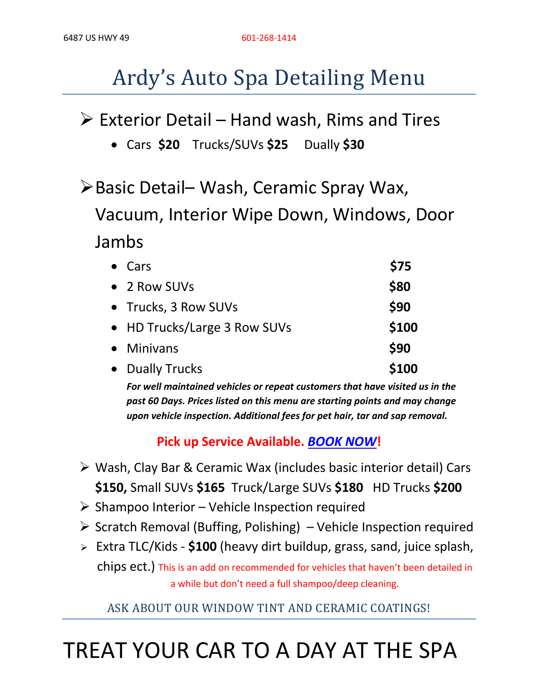# Ardy's Auto Spa Detailing Menu

## $\triangleright$  Exterior Detail – Hand wash, Rims and Tires

- Cars **\$20** Trucks/SUVs **\$25** Dually **\$30**
- ØBasic Detail– Wash, Ceramic Spray Wax,

Vacuum, Interior Wipe Down, Windows, Door Jambs

| $\bullet$ Cars               | \$75  |
|------------------------------|-------|
| • 2 Row SUVs                 | \$80  |
| • Trucks, 3 Row SUVs         | \$90  |
| • HD Trucks/Large 3 Row SUVs | \$100 |
| • Minivans                   | \$90  |
| • Dually Trucks              | \$100 |

*For well maintained vehicles or repeat customers that have visited us in the past 60 Days. Prices listed on this menu are starting points and may change upon vehicle inspection. Additional fees for pet hair, tar and sap removal.*

#### **Pick up Service Available.** *BOOK NOW***!**

- $\triangleright$  Wash, Clay Bar & Ceramic Wax (includes basic interior detail) Cars **\$150,** Small SUVs **\$165** Truck/Large SUVs **\$180** HD Trucks **\$200**
- $\triangleright$  Shampoo Interior Vehicle Inspection required
- $\triangleright$  Scratch Removal (Buffing, Polishing) Vehicle Inspection required
- <sup>Ø</sup> Extra TLC/Kids **\$100** (heavy dirt buildup, grass, sand, juice splash, chips ect.) This is an add on recommended for vehicles that haven't been detailed in a while but don't need a full shampoo/deep cleaning.

#### ASK ABOUT OUR WINDOW TINT AND CERAMIC COATINGS!

# TREAT YOUR CAR TO A DAY AT THE SPA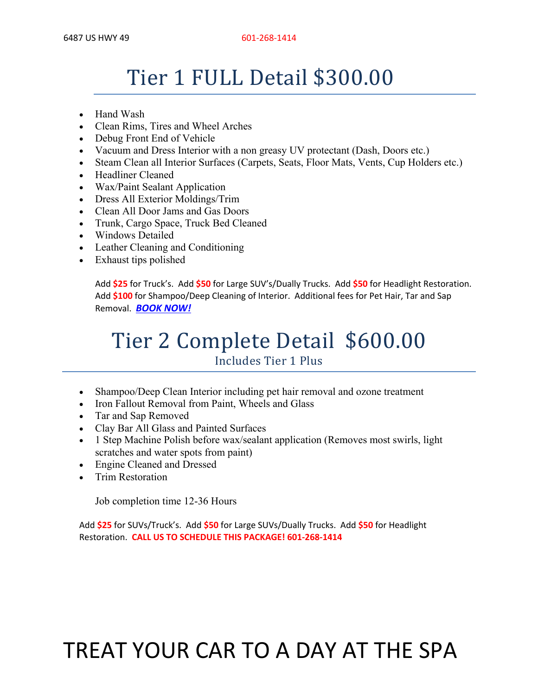## Tier 1 FULL Detail \$300.00

- Hand Wash
- Clean Rims, Tires and Wheel Arches
- Debug Front End of Vehicle
- Vacuum and Dress Interior with a non greasy UV protectant (Dash, Doors etc.)
- Steam Clean all Interior Surfaces (Carpets, Seats, Floor Mats, Vents, Cup Holders etc.)
- Headliner Cleaned
- Wax/Paint Sealant Application
- Dress All Exterior Moldings/Trim
- Clean All Door Jams and Gas Doors
- Trunk, Cargo Space, Truck Bed Cleaned
- Windows Detailed
- Leather Cleaning and Conditioning
- Exhaust tips polished

Add **\$25** for Truck's. Add **\$50** for Large SUV's/Dually Trucks. Add **\$50** for Headlight Restoration. Add **\$100** for Shampoo/Deep Cleaning of Interior. Additional fees for Pet Hair, Tar and Sap Removal. *BOOK NOW!*

### Tier 2 Complete Detail \$600.00 Includes Tier 1 Plus

- Shampoo/Deep Clean Interior including pet hair removal and ozone treatment
- Iron Fallout Removal from Paint, Wheels and Glass
- Tar and Sap Removed
- Clay Bar All Glass and Painted Surfaces
- 1 Step Machine Polish before wax/sealant application (Removes most swirls, light scratches and water spots from paint)
- Engine Cleaned and Dressed
- Trim Restoration

Job completion time 12-36 Hours

Add **\$25** for SUVs/Truck's. Add **\$50** for Large SUVs/Dually Trucks. Add **\$50** for Headlight Restoration. **CALL US TO SCHEDULE THIS PACKAGE! 601-268-1414**

# TREAT YOUR CAR TO A DAY AT THE SPA